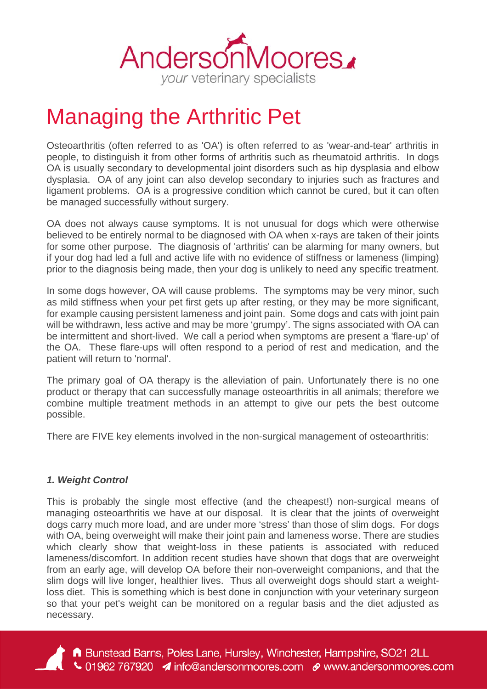

# Managing the Arthritic Pet

Osteoarthritis (often referred to as 'OA') is often referred to as 'wear-and-tear' arthritis in people, to distinguish it from other forms of arthritis such as rheumatoid arthritis. In dogs OA is usually secondary to developmental joint disorders such as hip dysplasia and elbow dysplasia. OA of any joint can also develop secondary to injuries such as fractures and ligament problems. OA is a progressive condition which cannot be cured, but it can often be managed successfully without surgery.

OA does not always cause symptoms. It is not unusual for dogs which were otherwise believed to be entirely normal to be diagnosed with OA when x-rays are taken of their joints for some other purpose. The diagnosis of 'arthritis' can be alarming for many owners, but if your dog had led a full and active life with no evidence of stiffness or lameness (limping) prior to the diagnosis being made, then your dog is unlikely to need any specific treatment.

In some dogs however, OA will cause problems. The symptoms may be very minor, such as mild stiffness when your pet first gets up after resting, or they may be more significant, for example causing persistent lameness and joint pain. Some dogs and cats with joint pain will be withdrawn, less active and may be more 'grumpy'. The signs associated with OA can be intermittent and short-lived. We call a period when symptoms are present a 'flare-up' of the OA. These flare-ups will often respond to a period of rest and medication, and the patient will return to 'normal'.

The primary goal of OA therapy is the alleviation of pain. Unfortunately there is no one product or therapy that can successfully manage osteoarthritis in all animals; therefore we combine multiple treatment methods in an attempt to give our pets the best outcome possible.

There are FIVE key elements involved in the non-surgical management of osteoarthritis:

#### *1. Weight Control*

This is probably the single most effective (and the cheapest!) non-surgical means of managing osteoarthritis we have at our disposal. It is clear that the joints of overweight dogs carry much more load, and are under more 'stress' than those of slim dogs. For dogs with OA, being overweight will make their joint pain and lameness worse. There are studies which clearly show that weight-loss in these patients is associated with reduced lameness/discomfort. In addition recent studies have shown that dogs that are overweight from an early age, will develop OA before their non-overweight companions, and that the slim dogs will live longer, healthier lives. Thus all overweight dogs should start a weightloss diet. This is something which is best done in conjunction with your veterinary surgeon so that your pet's weight can be monitored on a regular basis and the diet adjusted as necessary.

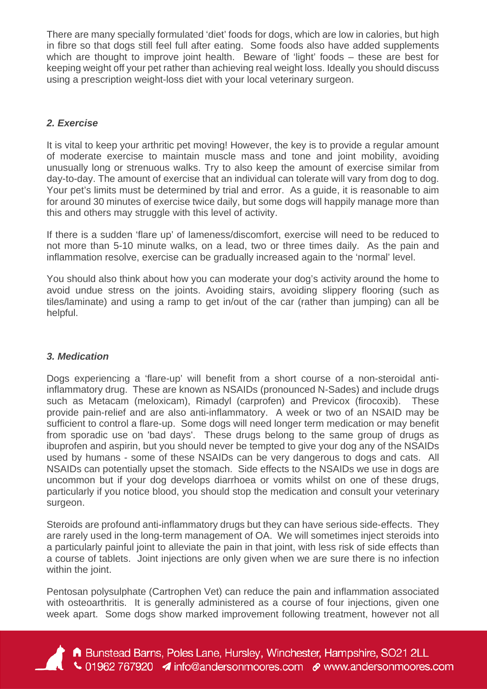There are many specially formulated 'diet' foods for dogs, which are low in calories, but high in fibre so that dogs still feel full after eating. Some foods also have added supplements which are thought to improve joint health. Beware of 'light' foods – these are best for keeping weight off your pet rather than achieving real weight loss. Ideally you should discuss using a prescription weight-loss diet with your local veterinary surgeon.

# *2. Exercise*

It is vital to keep your arthritic pet moving! However, the key is to provide a regular amount of moderate exercise to maintain muscle mass and tone and joint mobility, avoiding unusually long or strenuous walks. Try to also keep the amount of exercise similar from day-to-day. The amount of exercise that an individual can tolerate will vary from dog to dog. Your pet's limits must be determined by trial and error. As a guide, it is reasonable to aim for around 30 minutes of exercise twice daily, but some dogs will happily manage more than this and others may struggle with this level of activity.

If there is a sudden 'flare up' of lameness/discomfort, exercise will need to be reduced to not more than 5-10 minute walks, on a lead, two or three times daily. As the pain and inflammation resolve, exercise can be gradually increased again to the 'normal' level.

You should also think about how you can moderate your dog's activity around the home to avoid undue stress on the joints. Avoiding stairs, avoiding slippery flooring (such as tiles/laminate) and using a ramp to get in/out of the car (rather than jumping) can all be helpful.

## *3. Medication*

Dogs experiencing a 'flare-up' will benefit from a short course of a non-steroidal antiinflammatory drug. These are known as NSAIDs (pronounced N-Sades) and include drugs such as Metacam (meloxicam), Rimadyl (carprofen) and Previcox (firocoxib). These provide pain-relief and are also anti-inflammatory. A week or two of an NSAID may be sufficient to control a flare-up. Some dogs will need longer term medication or may benefit from sporadic use on 'bad days'. These drugs belong to the same group of drugs as ibuprofen and aspirin, but you should never be tempted to give your dog any of the NSAIDs used by humans - some of these NSAIDs can be very dangerous to dogs and cats. All NSAIDs can potentially upset the stomach. Side effects to the NSAIDs we use in dogs are uncommon but if your dog develops diarrhoea or vomits whilst on one of these drugs, particularly if you notice blood, you should stop the medication and consult your veterinary surgeon.

Steroids are profound anti-inflammatory drugs but they can have serious side-effects. They are rarely used in the long-term management of OA. We will sometimes inject steroids into a particularly painful joint to alleviate the pain in that joint, with less risk of side effects than a course of tablets. Joint injections are only given when we are sure there is no infection within the joint.

Pentosan polysulphate (Cartrophen Vet) can reduce the pain and inflammation associated with osteoarthritis. It is generally administered as a course of four injections, given one week apart. Some dogs show marked improvement following treatment, however not all